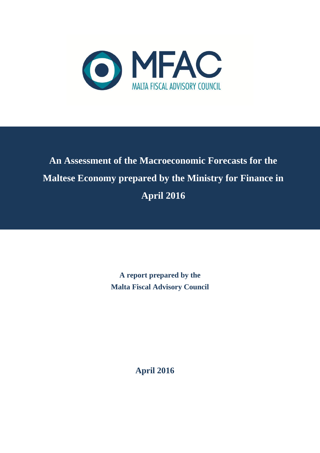

# **An Assessment of the Macroeconomic Forecasts for the Maltese Economy prepared by the Ministry for Finance in April 2016**

**A report prepared by the Malta Fiscal Advisory Council**

**April 2016**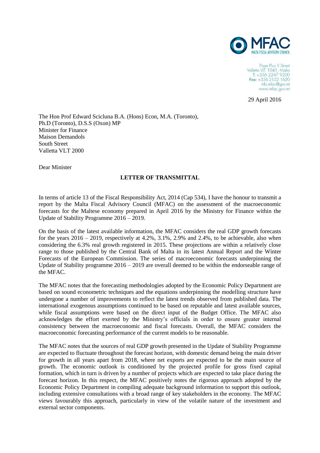

Pope Pius V Street Valletta VLT 1041, Malta<br>T: +356 2247 9200 Fax: +356 2122 1620 info.mfac@gov.mt www.mfac.gov.mt

29 April 2016

The Hon Prof Edward Scicluna B.A. (Hons) Econ, M.A. (Toronto), Ph.D (Toronto), D.S.S (Oxon) MP Minister for Finance Maison Demandols South Street Valletta VLT 2000

Dear Minister

#### **LETTER OF TRANSMITTAL**

In terms of article 13 of the Fiscal Responsibility Act, 2014 (Cap 534), I have the honour to transmit a report by the Malta Fiscal Advisory Council (MFAC) on the assessment of the macroeconomic forecasts for the Maltese economy prepared in April 2016 by the Ministry for Finance within the Update of Stability Programme 2016 – 2019.

On the basis of the latest available information, the MFAC considers the real GDP growth forecasts for the years  $2016 - 2019$ , respectively at 4.2%, 3.1%, 2.9% and 2.4%, to be achievable, also when considering the 6.3% real growth registered in 2015. These projections are within a relatively close range to those published by the Central Bank of Malta in its latest Annual Report and the Winter Forecasts of the European Commission. The series of macroeconomic forecasts underpinning the Update of Stability programme 2016 – 2019 are overall deemed to be within the endorseable range of the MFAC.

The MFAC notes that the forecasting methodologies adopted by the Economic Policy Department are based on sound econometric techniques and the equations underpinning the modelling structure have undergone a number of improvements to reflect the latest trends observed from published data. The international exogenous assumptions continued to be based on reputable and latest available sources, while fiscal assumptions were based on the direct input of the Budget Office. The MFAC also acknowledges the effort exerted by the Ministry's officials in order to ensure greater internal consistency between the macroeconomic and fiscal forecasts. Overall, the MFAC considers the macroeconomic forecasting performance of the current models to be reasonable.

The MFAC notes that the sources of real GDP growth presented in the Update of Stability Programme are expected to fluctuate throughout the forecast horizon, with domestic demand being the main driver for growth in all years apart from 2018, where net exports are expected to be the main source of growth. The economic outlook is conditioned by the projected profile for gross fixed capital formation, which in turn is driven by a number of projects which are expected to take place during the forecast horizon. In this respect, the MFAC positively notes the rigorous approach adopted by the Economic Policy Department in compiling adequate background information to support this outlook, including extensive consultations with a broad range of key stakeholders in the economy. The MFAC views favourably this approach, particularly in view of the volatile nature of the investment and external sector components.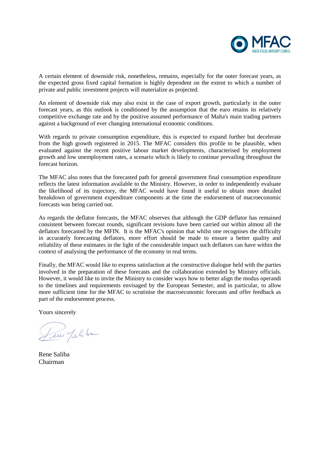

A certain element of downside risk, nonetheless, remains, especially for the outer forecast years, as the expected gross fixed capital formation is highly dependent on the extent to which a number of private and public investment projects will materialize as projected.

An element of downside risk may also exist in the case of export growth, particularly in the outer forecast years, as this outlook is conditioned by the assumption that the euro retains its relatively competitive exchange rate and by the positive assumed performance of Malta's main trading partners against a background of ever changing international economic conditions.

With regards to private consumption expenditure, this is expected to expand further but decelerate from the high growth registered in 2015. The MFAC considers this profile to be plausible, when evaluated against the recent positive labour market developments, characterised by employment growth and low unemployment rates, a scenario which is likely to continue prevailing throughout the forecast horizon.

The MFAC also notes that the forecasted path for general government final consumption expenditure reflects the latest information available to the Ministry. However, in order to independently evaluate the likelihood of its trajectory, the MFAC would have found it useful to obtain more detailed breakdown of government expenditure components at the time the endorsement of macroeconomic forecasts was being carried out.

As regards the deflator forecasts, the MFAC observes that although the GDP deflator has remained consistent between forecast rounds, significant revisions have been carried out within almost all the deflators forecasted by the MFIN. It is the MFAC's opinion that whilst one recognises the difficulty in accurately forecasting deflators, more effort should be made to ensure a better quality and reliability of these estimates in the light of the considerable impact such deflators can have within the context of analysing the performance of the economy in real terms.

Finally, the MFAC would like to express satisfaction at the constructive dialogue held with the parties involved in the preparation of these forecasts and the collaboration extended by Ministry officials. However, it would like to invite the Ministry to consider ways how to better align the modus operandi to the timelines and requirements envisaged by the European Semester, and in particular, to allow more sufficient time for the MFAC to scrutinise the macroeconomic forecasts and offer feedback as part of the endorsement process.

Yours sincerely

Leur Jelite

Rene Saliba Chairman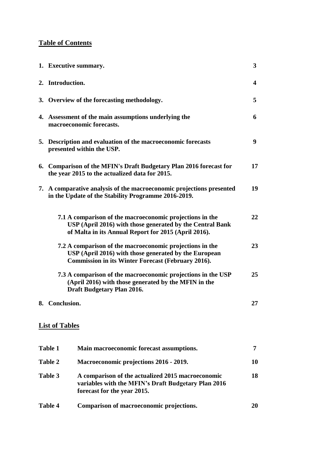# **Table of Contents**

| 1. Executive summary.                                                                                                                                                         | 3  |  |  |  |  |  |
|-------------------------------------------------------------------------------------------------------------------------------------------------------------------------------|----|--|--|--|--|--|
| 2. Introduction.                                                                                                                                                              | 4  |  |  |  |  |  |
| 3. Overview of the forecasting methodology.                                                                                                                                   | 5  |  |  |  |  |  |
| 4. Assessment of the main assumptions underlying the<br>macroeconomic forecasts.                                                                                              | 6  |  |  |  |  |  |
| 5. Description and evaluation of the macroeconomic forecasts<br>presented within the USP.                                                                                     | 9  |  |  |  |  |  |
| 6. Comparison of the MFIN's Draft Budgetary Plan 2016 forecast for<br>the year 2015 to the actualized data for 2015.                                                          | 17 |  |  |  |  |  |
| 7. A comparative analysis of the macroeconomic projections presented<br>in the Update of the Stability Programme 2016-2019.                                                   | 19 |  |  |  |  |  |
| 7.1 A comparison of the macroeconomic projections in the<br>USP (April 2016) with those generated by the Central Bank<br>of Malta in its Annual Report for 2015 (April 2016). | 22 |  |  |  |  |  |
| 7.2 A comparison of the macroeconomic projections in the<br>USP (April 2016) with those generated by the European<br>Commission in its Winter Forecast (February 2016).       | 23 |  |  |  |  |  |
| 7.3 A comparison of the macroeconomic projections in the USP<br>(April 2016) with those generated by the MFIN in the<br>Draft Budgetary Plan 2016.                            | 25 |  |  |  |  |  |
| 8. Conclusion.                                                                                                                                                                | 27 |  |  |  |  |  |
| <b>List of Tables</b>                                                                                                                                                         |    |  |  |  |  |  |

| Table 1 | Main macroeconomic forecast assumptions.                                                                                                |    |
|---------|-----------------------------------------------------------------------------------------------------------------------------------------|----|
| Table 2 | Macroeconomic projections 2016 - 2019.                                                                                                  | 10 |
| Table 3 | A comparison of the actualized 2015 macroeconomic<br>variables with the MFIN's Draft Budgetary Plan 2016<br>forecast for the year 2015. | 18 |
| Table 4 | Comparison of macroeconomic projections.                                                                                                | 20 |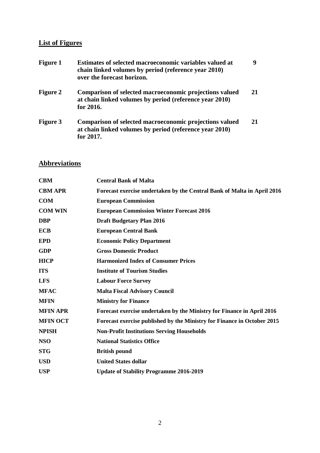# **List of Figures**

| <b>Figure 1</b> | Estimates of selected macroeconomic variables valued at<br>chain linked volumes by period (reference year 2010)<br>over the forecast horizon. | 9  |
|-----------------|-----------------------------------------------------------------------------------------------------------------------------------------------|----|
| <b>Figure 2</b> | Comparison of selected macroeconomic projections valued<br>at chain linked volumes by period (reference year 2010)<br>for 2016.               | 21 |
| <b>Figure 3</b> | Comparison of selected macroeconomic projections valued<br>at chain linked volumes by period (reference year 2010)<br>for 2017.               |    |

# **Abbreviations**

| <b>CBM</b>      | <b>Central Bank of Malta</b>                                                   |
|-----------------|--------------------------------------------------------------------------------|
| <b>CBM APR</b>  | <b>Forecast exercise undertaken by the Central Bank of Malta in April 2016</b> |
| <b>COM</b>      | <b>European Commission</b>                                                     |
| <b>COM WIN</b>  | <b>European Commission Winter Forecast 2016</b>                                |
| <b>DBP</b>      | <b>Draft Budgetary Plan 2016</b>                                               |
| <b>ECB</b>      | <b>European Central Bank</b>                                                   |
| <b>EPD</b>      | <b>Economic Policy Department</b>                                              |
| <b>GDP</b>      | <b>Gross Domestic Product</b>                                                  |
| <b>HICP</b>     | <b>Harmonized Index of Consumer Prices</b>                                     |
| <b>ITS</b>      | <b>Institute of Tourism Studies</b>                                            |
| <b>LFS</b>      | <b>Labour Force Survey</b>                                                     |
| <b>MFAC</b>     | <b>Malta Fiscal Advisory Council</b>                                           |
| <b>MFIN</b>     | <b>Ministry for Finance</b>                                                    |
| <b>MFIN APR</b> | Forecast exercise undertaken by the Ministry for Finance in April 2016         |
| <b>MFIN OCT</b> | Forecast exercise published by the Ministry for Finance in October 2015        |
| <b>NPISH</b>    | <b>Non-Profit Institutions Serving Households</b>                              |
| <b>NSO</b>      | <b>National Statistics Office</b>                                              |
| <b>STG</b>      | <b>British pound</b>                                                           |
| <b>USD</b>      | <b>United States dollar</b>                                                    |
| <b>USP</b>      | <b>Update of Stability Programme 2016-2019</b>                                 |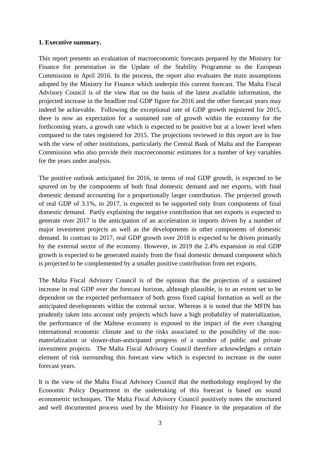#### **1. Executive summary.**

This report presents an evaluation of macroeconomic forecasts prepared by the Ministry for Finance for presentation in the Update of the Stability Programme to the European Commission in April 2016. In the process, the report also evaluates the main assumptions adopted by the Ministry for Finance which underpin this current forecast. The Malta Fiscal Advisory Council is of the view that on the basis of the latest available information, the projected increase in the headline real GDP figure for 2016 and the other forecast years may indeed be achievable. Following the exceptional rate of GDP growth registered for 2015, there is now an expectation for a sustained rate of growth within the economy for the forthcoming years, a growth rate which is expected to be positive but at a lower level when compared to the rates registered for 2015. The projections reviewed in this report are in line with the view of other institutions, particularly the Central Bank of Malta and the European Commission who also provide their macroeconomic estimates for a number of key variables for the years under analysis.

The positive outlook anticipated for 2016, in terms of real GDP growth, is expected to be spurred on by the components of both final domestic demand and net exports, with final domestic demand accounting for a proportionally larger contribution. The projected growth of real GDP of 3.1%, in 2017, is expected to be supported only from components of final domestic demand. Partly explaining the negative contribution that net exports is expected to generate over 2017 is the anticipation of an acceleration in imports driven by a number of major investment projects as well as the developments in other components of domestic demand. In contrast to 2017, real GDP growth over 2018 is expected to be driven primarily by the external sector of the economy. However, in 2019 the 2.4% expansion in real GDP growth is expected to be generated mainly from the final domestic demand component which is projected to be complemented by a smaller positive contribution from net exports.

The Malta Fiscal Advisory Council is of the opinion that the projection of a sustained increase in real GDP over the forecast horizon, although plausible, is to an extent set to be dependent on the expected performance of both gross fixed capital formation as well as the anticipated developments within the external sector. Whereas it is noted that the MFIN has prudently taken into account only projects which have a high probability of materialization, the performance of the Maltese economy is exposed to the impact of the ever changing international economic climate and to the risks associated to the possibility of the nonmaterialization or slower-than-anticipated progress of a number of public and private investment projects. The Malta Fiscal Advisory Council therefore acknowledges a certain element of risk surrounding this forecast view which is expected to increase in the outer forecast years.

It is the view of the Malta Fiscal Advisory Council that the methodology employed by the Economic Policy Department in the undertaking of this forecast is based on sound econometric techniques. The Malta Fiscal Advisory Council positively notes the structured and well documented process used by the Ministry for Finance in the preparation of the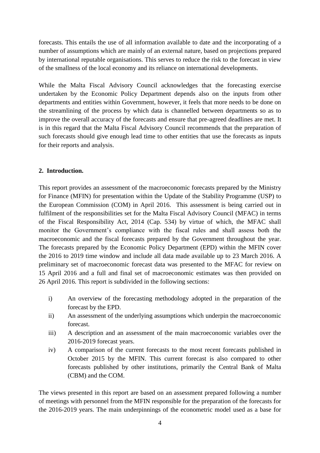forecasts. This entails the use of all information available to date and the incorporating of a number of assumptions which are mainly of an external nature, based on projections prepared by international reputable organisations. This serves to reduce the risk to the forecast in view of the smallness of the local economy and its reliance on international developments.

While the Malta Fiscal Advisory Council acknowledges that the forecasting exercise undertaken by the Economic Policy Department depends also on the inputs from other departments and entities within Government, however, it feels that more needs to be done on the streamlining of the process by which data is channelled between departments so as to improve the overall accuracy of the forecasts and ensure that pre-agreed deadlines are met. It is in this regard that the Malta Fiscal Advisory Council recommends that the preparation of such forecasts should give enough lead time to other entities that use the forecasts as inputs for their reports and analysis.

#### **2. Introduction.**

This report provides an assessment of the macroeconomic forecasts prepared by the Ministry for Finance (MFIN) for presentation within the Update of the Stability Programme (USP) to the European Commission (COM) in April 2016. This assessment is being carried out in fulfilment of the responsibilities set for the Malta Fiscal Advisory Council (MFAC) in terms of the Fiscal Responsibility Act, 2014 (Cap. 534) by virtue of which, the MFAC shall monitor the Government's compliance with the fiscal rules and shall assess both the macroeconomic and the fiscal forecasts prepared by the Government throughout the year. The forecasts prepared by the Economic Policy Department (EPD) within the MFIN cover the 2016 to 2019 time window and include all data made available up to 23 March 2016. A preliminary set of macroeconomic forecast data was presented to the MFAC for review on 15 April 2016 and a full and final set of macroeconomic estimates was then provided on 26 April 2016. This report is subdivided in the following sections:

- i) An overview of the forecasting methodology adopted in the preparation of the forecast by the EPD.
- ii) An assessment of the underlying assumptions which underpin the macroeconomic forecast.
- iii) A description and an assessment of the main macroeconomic variables over the 2016-2019 forecast years.
- iv) A comparison of the current forecasts to the most recent forecasts published in October 2015 by the MFIN. This current forecast is also compared to other forecasts published by other institutions, primarily the Central Bank of Malta (CBM) and the COM.

The views presented in this report are based on an assessment prepared following a number of meetings with personnel from the MFIN responsible for the preparation of the forecasts for the 2016-2019 years. The main underpinnings of the econometric model used as a base for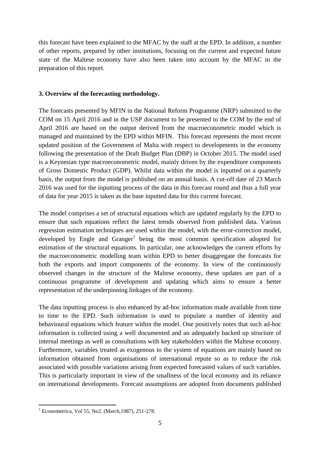this forecast have been explained to the MFAC by the staff at the EPD. In addition, a number of other reports, prepared by other institutions, focusing on the current and expected future state of the Maltese economy have also been taken into account by the MFAC in the preparation of this report.

#### **3. Overview of the forecasting methodology.**

The forecasts presented by MFIN in the National Reform Programme (NRP) submitted to the COM on 15 April 2016 and in the USP document to be presented to the COM by the end of April 2016 are based on the output derived from the macroeconometric model which is managed and maintained by the EPD within MFIN. This forecast represents the most recent updated position of the Government of Malta with respect to developments in the economy following the presentation of the Draft Budget Plan (DBP) in October 2015. The model used is a Keynesian type macroeconometric model, mainly driven by the expenditure components of Gross Domestic Product (GDP). Whilst data within the model is inputted on a quarterly basis, the output from the model is published on an annual basis. A cut-off date of 23 March 2016 was used for the inputting process of the data in this forecast round and thus a full year of data for year 2015 is taken as the base inputted data for this current forecast.

The model comprises a set of structural equations which are updated regularly by the EPD to ensure that such equations reflect the latest trends observed from published data. Various regression estimation techniques are used within the model, with the error-correction model, developed by Engle and Granger<sup>1</sup> being the most common specification adopted for estimation of the structural equations. In particular, one acknowledges the current efforts by the macroeconometric modelling team within EPD to better disaggregate the forecasts for both the exports and import components of the economy. In view of the continuously observed changes in the structure of the Maltese economy, these updates are part of a continuous programme of development and updating which aims to ensure a better representation of the underpinning linkages of the economy.

The data inputting process is also enhanced by ad-hoc information made available from time to time to the EPD. Such information is used to populate a number of identity and behavioural equations which feature within the model. One positively notes that such ad-hoc information is collected using a well documented and an adequately backed up structure of internal meetings as well as consultations with key stakeholders within the Maltese economy. Furthermore, variables treated as exogenous to the system of equations are mainly based on information obtained from organisations of international repute so as to reduce the risk associated with possible variations arising from expected forecasted values of such variables. This is particularly important in view of the smallness of the local economy and its reliance on international developments. Forecast assumptions are adopted from documents published

 $1$  Econometrica, Vol 55, No2. (March, 1987), 251-278.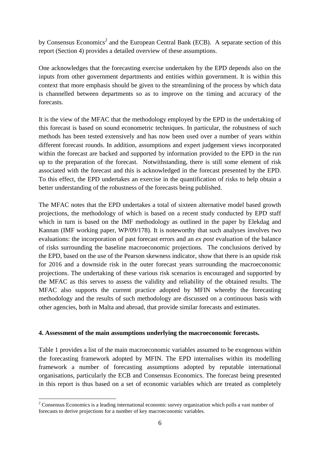by Consensus Economics<sup>2</sup> and the European Central Bank (ECB). A separate section of this report (Section 4) provides a detailed overview of these assumptions.

One acknowledges that the forecasting exercise undertaken by the EPD depends also on the inputs from other government departments and entities within government. It is within this context that more emphasis should be given to the streamlining of the process by which data is channelled between departments so as to improve on the timing and accuracy of the forecasts.

It is the view of the MFAC that the methodology employed by the EPD in the undertaking of this forecast is based on sound econometric techniques. In particular, the robustness of such methods has been tested extensively and has now been used over a number of years within different forecast rounds. In addition, assumptions and expert judgement views incorporated within the forecast are backed and supported by information provided to the EPD in the run up to the preparation of the forecast. Notwithstanding, there is still some element of risk associated with the forecast and this is acknowledged in the forecast presented by the EPD. To this effect, the EPD undertakes an exercise in the quantification of risks to help obtain a better understanding of the robustness of the forecasts being published.

The MFAC notes that the EPD undertakes a total of sixteen alternative model based growth projections, the methodology of which is based on a recent study conducted by EPD staff which in turn is based on the IMF methodology as outlined in the paper by Elekdag and Kannan (IMF working paper, WP/09/178). It is noteworthy that such analyses involves two evaluations: the incorporation of past forecast errors and an *ex post* evaluation of the balance of risks surrounding the baseline macroeconomic projections. The conclusions derived by the EPD, based on the use of the Pearson skewness indicator, show that there is an upside risk for 2016 and a downside risk in the outer forecast years surrounding the macroeconomic projections. The undertaking of these various risk scenarios is encouraged and supported by the MFAC as this serves to assess the validity and reliability of the obtained results. The MFAC also supports the current practice adopted by MFIN whereby the forecasting methodology and the results of such methodology are discussed on a continuous basis with other agencies, both in Malta and abroad, that provide similar forecasts and estimates.

#### **4. Assessment of the main assumptions underlying the macroeconomic forecasts.**

Table 1 provides a list of the main macroeconomic variables assumed to be exogenous within the forecasting framework adopted by MFIN. The EPD internalises within its modelling framework a number of forecasting assumptions adopted by reputable international organisations, particularly the ECB and Consensus Economics. The forecast being presented in this report is thus based on a set of economic variables which are treated as completely

<sup>&</sup>lt;sup>2</sup> Consensus Economics is a leading international economic survey organization which polls a vast number of forecasts to derive projections for a number of key macroeconomic variables.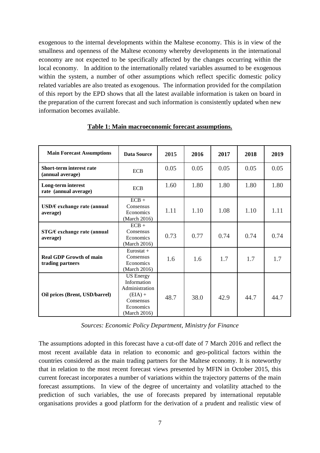exogenous to the internal developments within the Maltese economy. This is in view of the smallness and openness of the Maltese economy whereby developments in the international economy are not expected to be specifically affected by the changes occurring within the local economy. In addition to the internationally related variables assumed to be exogenous within the system, a number of other assumptions which reflect specific domestic policy related variables are also treated as exogenous. The information provided for the compilation of this report by the EPD shows that all the latest available information is taken on board in the preparation of the current forecast and such information is consistently updated when new information becomes available.

| <b>Main Forecast Assumptions</b>                    | <b>Data Source</b>                                                                                       | 2015 | 2016 | 2017 | 2018 | 2019 |
|-----------------------------------------------------|----------------------------------------------------------------------------------------------------------|------|------|------|------|------|
| <b>Short-term interest rate</b><br>(annual average) | <b>ECB</b>                                                                                               | 0.05 | 0.05 | 0.05 | 0.05 | 0.05 |
| Long-term interest<br>rate (annual average)         | <b>ECB</b>                                                                                               | 1.60 | 1.80 | 1.80 | 1.80 | 1.80 |
| USD/ $\epsilon$ exchange rate (annual<br>average)   | $ECB +$<br>Consensus<br>Economics<br>(March 2016)                                                        | 1.11 | 1.10 | 1.08 | 1.10 | 1.11 |
| $STG/E$ exchange rate (annual<br>average)           | $ECB +$<br>Consensus<br>Economics<br>(March 2016)                                                        | 0.73 | 0.77 | 0.74 | 0.74 | 0.74 |
| <b>Real GDP Growth of main</b><br>trading partners  | Eurostat +<br>Consensus<br>Economics<br>(March 2016)                                                     | 1.6  | 1.6  | 1.7  | 1.7  | 1.7  |
| Oil prices (Brent, USD/barrel)                      | <b>US</b> Energy<br>Information<br>Administration<br>$(EIA) +$<br>Consensus<br>Economics<br>(March 2016) | 48.7 | 38.0 | 42.9 | 44.7 | 44.7 |

#### **Table 1: Main macroeconomic forecast assumptions.**

*Sources: Economic Policy Department, Ministry for Finance*

The assumptions adopted in this forecast have a cut-off date of 7 March 2016 and reflect the most recent available data in relation to economic and geo-political factors within the countries considered as the main trading partners for the Maltese economy. It is noteworthy that in relation to the most recent forecast views presented by MFIN in October 2015, this current forecast incorporates a number of variations within the trajectory patterns of the main forecast assumptions. In view of the degree of uncertainty and volatility attached to the prediction of such variables, the use of forecasts prepared by international reputable organisations provides a good platform for the derivation of a prudent and realistic view of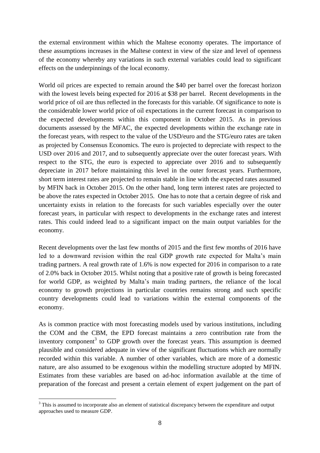the external environment within which the Maltese economy operates. The importance of these assumptions increases in the Maltese context in view of the size and level of openness of the economy whereby any variations in such external variables could lead to significant effects on the underpinnings of the local economy.

World oil prices are expected to remain around the \$40 per barrel over the forecast horizon with the lowest levels being expected for 2016 at \$38 per barrel. Recent developments in the world price of oil are thus reflected in the forecasts for this variable. Of significance to note is the considerable lower world price of oil expectations in the current forecast in comparison to the expected developments within this component in October 2015. As in previous documents assessed by the MFAC, the expected developments within the exchange rate in the forecast years, with respect to the value of the USD/euro and the STG/euro rates are taken as projected by Consensus Economics. The euro is projected to depreciate with respect to the USD over 2016 and 2017, and to subsequently appreciate over the outer forecast years. With respect to the STG, the euro is expected to appreciate over 2016 and to subsequently depreciate in 2017 before maintaining this level in the outer forecast years. Furthermore, short term interest rates are projected to remain stable in line with the expected rates assumed by MFIN back in October 2015. On the other hand, long term interest rates are projected to be above the rates expected in October 2015. One has to note that a certain degree of risk and uncertainty exists in relation to the forecasts for such variables especially over the outer forecast years, in particular with respect to developments in the exchange rates and interest rates. This could indeed lead to a significant impact on the main output variables for the economy.

Recent developments over the last few months of 2015 and the first few months of 2016 have led to a downward revision within the real GDP growth rate expected for Malta's main trading partners. A real growth rate of 1.6% is now expected for 2016 in comparison to a rate of 2.0% back in October 2015. Whilst noting that a positive rate of growth is being forecasted for world GDP, as weighted by Malta's main trading partners, the reliance of the local economy to growth projections in particular countries remains strong and such specific country developments could lead to variations within the external components of the economy.

As is common practice with most forecasting models used by various institutions, including the COM and the CBM, the EPD forecast maintains a zero contribution rate from the inventory component<sup>3</sup> to GDP growth over the forecast years. This assumption is deemed plausible and considered adequate in view of the significant fluctuations which are normally recorded within this variable. A number of other variables, which are more of a domestic nature, are also assumed to be exogenous within the modelling structure adopted by MFIN. Estimates from these variables are based on ad-hoc information available at the time of preparation of the forecast and present a certain element of expert judgement on the part of

<sup>&</sup>lt;sup>3</sup> This is assumed to incorporate also an element of statistical discrepancy between the expenditure and output approaches used to measure GDP.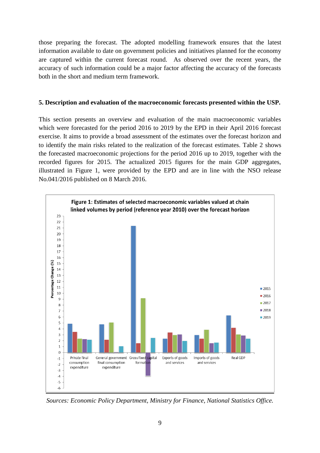those preparing the forecast. The adopted modelling framework ensures that the latest information available to date on government policies and initiatives planned for the economy are captured within the current forecast round. As observed over the recent years, the accuracy of such information could be a major factor affecting the accuracy of the forecasts both in the short and medium term framework.

#### **5. Description and evaluation of the macroeconomic forecasts presented within the USP.**

This section presents an overview and evaluation of the main macroeconomic variables which were forecasted for the period 2016 to 2019 by the EPD in their April 2016 forecast exercise. It aims to provide a broad assessment of the estimates over the forecast horizon and to identify the main risks related to the realization of the forecast estimates. Table 2 shows the forecasted macroeconomic projections for the period 2016 up to 2019, together with the recorded figures for 2015. The actualized 2015 figures for the main GDP aggregates, illustrated in Figure 1, were provided by the EPD and are in line with the NSO release No.041/2016 published on 8 March 2016.



*Sources: Economic Policy Department, Ministry for Finance, National Statistics Office.*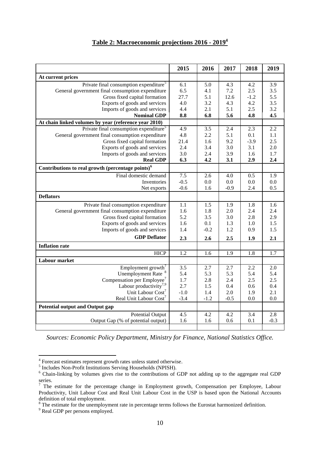# **Table 2: Macroeconomic projections 2016 - 2019<sup>4</sup>**

|                                                               | 2015       | 2016       | 2017       | 2018       | 2019       |
|---------------------------------------------------------------|------------|------------|------------|------------|------------|
| At current prices                                             |            |            |            |            |            |
| Private final consumption expenditure <sup>5</sup>            | 6.1        | 5.0        | 4.3        | 4.2        | 3.9        |
| General government final consumption expenditure              | 6.5        | 4.1        | 7.2        | 2.5        | 3.5        |
| Gross fixed capital formation                                 | 27.7       | 5.1        | 12.6       | $-1.2$     | 5.5        |
| Exports of goods and services                                 | 4.0        | 3.2        | 4.3        | 4.2        | 3.5        |
| Imports of goods and services                                 | 4.4        | 2.1        | 5.1        | 2.5        | 3.2        |
| <b>Nominal GDP</b>                                            | 8.8        | 6.8        | 5.6        | 4.8        | 4.5        |
| At chain linked volumes by year (reference year 2010)         |            |            |            |            |            |
| Private final consumption expenditure <sup>5</sup>            | 4.9        | 3.5        | 2.4        | 2.3        | 2.2        |
| General government final consumption expenditure              | 4.8        | 2.2        | 5.1        | 0.1        | 1.1        |
| Gross fixed capital formation                                 | 21.4       | 1.6        | 9.2        | $-3.9$     | 2.5        |
| Exports of goods and services                                 | 2.4        | 3.4        | 3.0        | 3.1        | 2.0<br>1.7 |
| Imports of goods and services<br><b>Real GDP</b>              | 3.0<br>6.3 | 2.4<br>4.2 | 3.9<br>3.1 | 1.6<br>2.9 | 2.4        |
|                                                               |            |            |            |            |            |
| Contributions to real growth (percentage points) <sup>6</sup> |            |            |            |            |            |
| Final domestic demand                                         | 7.5        | 2.6        | 4.0        | 0.5        | 1.9        |
| Inventories                                                   | $-0.5$     | 0.0        | 0.0        | 0.0        | 0.0        |
| Net exports                                                   | $-0.6$     | 1.6        | $-0.9$     | 2.4        | 0.5        |
| <b>Deflators</b>                                              |            |            |            |            |            |
| Private final consumption expenditure                         | 1.1        | 1.5        | 1.9        | 1.8        | 1.6        |
| General government final consumption expenditure              | 1.6        | 1.8        | 2.0        | 2.4        | 2.4        |
| Gross fixed capital formation                                 | 5.2        | 3.5        | 3.0        | 2.8        | 2.9        |
| Exports of goods and services                                 | 1.6        | 0.1        | 1.3        | 1.0        | 1.5        |
| Imports of goods and services                                 | 1.4        | $-0.2$     | 1.2        | 0.9        | 1.5        |
| <b>GDP</b> Deflator                                           | 2.3        | 2.6        | 2.5        | 1.9        | 2.1        |
| <b>Inflation rate</b>                                         |            |            |            |            |            |
| <b>HICP</b>                                                   | 1.2        | 1.6        | 1.9        | 1.8        | 1.7        |
| Labour market                                                 |            |            |            |            |            |
| Employment growth <sup>7</sup>                                | 3.5        | 2.7        | 2.7        | 2.2        | 2.0        |
| Unemployment Rate <sup>8</sup>                                | 5.4        | 5.3        | 5.3        | 5.4        | 5.4        |
| Compensation per Employee <sup>7</sup>                        | 1.7        | 2.8        | 2.4        | 2.5        | 2.5        |
| Labour productivity <sup>7,9</sup>                            | 2.7        | 1.5        | 0.4        | 0.6        | 0.4        |
| Unit Labour Cost <sup>7</sup>                                 | $-1.0$     | 1.4        | 2.0        | 1.9        | 2.1        |
| Real Unit Labour Cost                                         | $-3.4$     | $-1.2$     | $-0.5$     | 0.0        | 0.0        |
| <b>Potential output and Output gap</b>                        |            |            |            |            |            |
| <b>Potential Output</b>                                       | 4.5        | 4.2        | 4.2        | 3.4        | 2.8        |
| Output Gap (% of potential output)                            | 1.6        | 1.6        | 0.6        | 0.1        | $-0.3$     |
|                                                               |            |            |            |            |            |

*Sources: Economic Policy Department, Ministry for Finance, National Statistics Office.*

 4 Forecast estimates represent growth rates unless stated otherwise. 5 Includes Non-Profit Institutions Serving Households (NPISH).

<sup>&</sup>lt;sup>6</sup> Chain-linking by volumes gives rise to the contributions of GDP not adding up to the aggregate real GDP series.

 $7$  The estimate for the percentage change in Employment growth, Compensation per Employee, Labour Productivity, Unit Labour Cost and Real Unit Labour Cost in the USP is based upon the National Accounts definition of total employment.

<sup>&</sup>lt;sup>8</sup> The estimate for the unemployment rate in percentage terms follows the Eurostat harmonized definition.

<sup>&</sup>lt;sup>9</sup> Real GDP per persons employed.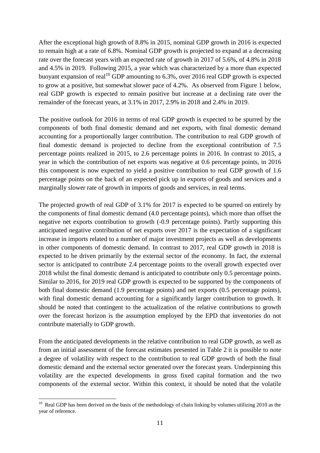After the exceptional high growth of 8.8% in 2015, nominal GDP growth in 2016 is expected to remain high at a rate of 6.8%. Nominal GDP growth is projected to expand at a decreasing rate over the forecast years with an expected rate of growth in 2017 of 5.6%, of 4.8% in 2018 and 4.5% in 2019. Following 2015, a year which was characterized by a more than expected buoyant expansion of real<sup>10</sup> GDP amounting to 6.3%, over 2016 real GDP growth is expected to grow at a positive, but somewhat slower pace of 4.2%. As observed from Figure 1 below, real GDP growth is expected to remain positive but increase at a declining rate over the remainder of the forecast years, at 3.1% in 2017, 2.9% in 2018 and 2.4% in 2019.

The positive outlook for 2016 in terms of real GDP growth is expected to be spurred by the components of both final domestic demand and net exports, with final domestic demand accounting for a proportionally larger contribution. The contribution to real GDP growth of final domestic demand is projected to decline from the exceptional contribution of 7.5 percentage points realized in 2015, to 2.6 percentage points in 2016. In contrast to 2015, a year in which the contribution of net exports was negative at 0.6 percentage points, in 2016 this component is now expected to yield a positive contribution to real GDP growth of 1.6 percentage points on the back of an expected pick up in exports of goods and services and a marginally slower rate of growth in imports of goods and services, in real terms.

The projected growth of real GDP of 3.1% for 2017 is expected to be spurred on entirely by the components of final domestic demand (4.0 percentage points), which more than offset the negative net exports contribution to growth (-0.9 percentage points). Partly supporting this anticipated negative contribution of net exports over 2017 is the expectation of a significant increase in imports related to a number of major investment projects as well as developments in other components of domestic demand. In contrast to 2017, real GDP growth in 2018 is expected to be driven primarily by the external sector of the economy. In fact, the external sector is anticipated to contribute 2.4 percentage points to the overall growth expected over 2018 whilst the final domestic demand is anticipated to contribute only 0.5 percentage points. Similar to 2016, for 2019 real GDP growth is expected to be supported by the components of both final domestic demand (1.9 percentage points) and net exports (0.5 percentage points), with final domestic demand accounting for a significantly larger contribution to growth. It should be noted that contingent to the actualization of the relative contributions to growth over the forecast horizon is the assumption employed by the EPD that inventories do not contribute materially to GDP growth.

From the anticipated developments in the relative contribution to real GDP growth, as well as from an initial assessment of the forecast estimates presented in Table 2 it is possible to note a degree of volatility with respect to the contribution to real GDP growth of both the final domestic demand and the external sector generated over the forecast years. Underpinning this volatility are the expected developments in gross fixed capital formation and the two components of the external sector. Within this context, it should be noted that the volatile

<sup>&</sup>lt;sup>10</sup> Real GDP has been derived on the basis of the methodology of chain linking by volumes utilizing 2010 as the year of reference.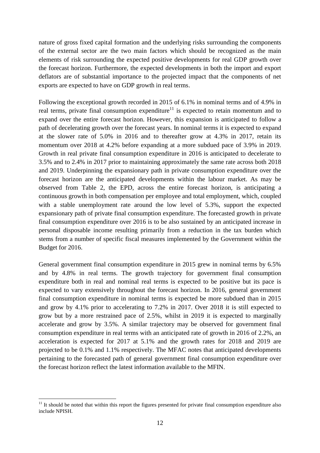nature of gross fixed capital formation and the underlying risks surrounding the components of the external sector are the two main factors which should be recognized as the main elements of risk surrounding the expected positive developments for real GDP growth over the forecast horizon. Furthermore, the expected developments in both the import and export deflators are of substantial importance to the projected impact that the components of net exports are expected to have on GDP growth in real terms.

Following the exceptional growth recorded in 2015 of 6.1% in nominal terms and of 4.9% in real terms, private final consumption expenditure<sup>11</sup> is expected to retain momentum and to expand over the entire forecast horizon. However, this expansion is anticipated to follow a path of decelerating growth over the forecast years. In nominal terms it is expected to expand at the slower rate of 5.0% in 2016 and to thereafter grow at 4.3% in 2017, retain its momentum over 2018 at 4.2% before expanding at a more subdued pace of 3.9% in 2019. Growth in real private final consumption expenditure in 2016 is anticipated to decelerate to 3.5% and to 2.4% in 2017 prior to maintaining approximately the same rate across both 2018 and 2019. Underpinning the expansionary path in private consumption expenditure over the forecast horizon are the anticipated developments within the labour market. As may be observed from Table 2, the EPD, across the entire forecast horizon, is anticipating a continuous growth in both compensation per employee and total employment, which, coupled with a stable unemployment rate around the low level of 5.3%, support the expected expansionary path of private final consumption expenditure. The forecasted growth in private final consumption expenditure over 2016 is to be also sustained by an anticipated increase in personal disposable income resulting primarily from a reduction in the tax burden which stems from a number of specific fiscal measures implemented by the Government within the Budget for 2016.

General government final consumption expenditure in 2015 grew in nominal terms by 6.5% and by 4.8% in real terms. The growth trajectory for government final consumption expenditure both in real and nominal real terms is expected to be positive but its pace is expected to vary extensively throughout the forecast horizon. In 2016, general government final consumption expenditure in nominal terms is expected be more subdued than in 2015 and grow by 4.1% prior to accelerating to 7.2% in 2017. Over 2018 it is still expected to grow but by a more restrained pace of 2.5%, whilst in 2019 it is expected to marginally accelerate and grow by 3.5%. A similar trajectory may be observed for government final consumption expenditure in real terms with an anticipated rate of growth in 2016 of 2.2%, an acceleration is expected for 2017 at 5.1% and the growth rates for 2018 and 2019 are projected to be 0.1% and 1.1% respectively. The MFAC notes that anticipated developments pertaining to the forecasted path of general government final consumption expenditure over the forecast horizon reflect the latest information available to the MFIN.

 $11$  It should be noted that within this report the figures presented for private final consumption expenditure also include NPISH.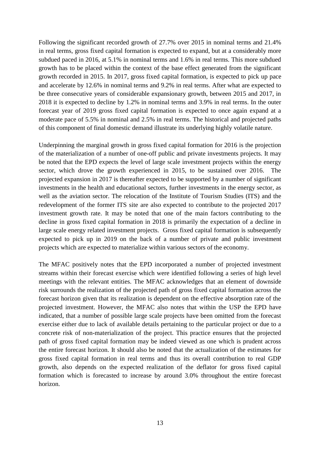Following the significant recorded growth of 27.7% over 2015 in nominal terms and 21.4% in real terms, gross fixed capital formation is expected to expand, but at a considerably more subdued paced in 2016, at 5.1% in nominal terms and 1.6% in real terms. This more subdued growth has to be placed within the context of the base effect generated from the significant growth recorded in 2015. In 2017, gross fixed capital formation, is expected to pick up pace and accelerate by 12.6% in nominal terms and 9.2% in real terms. After what are expected to be three consecutive years of considerable expansionary growth, between 2015 and 2017, in 2018 it is expected to decline by 1.2% in nominal terms and 3.9% in real terms. In the outer forecast year of 2019 gross fixed capital formation is expected to once again expand at a moderate pace of 5.5% in nominal and 2.5% in real terms. The historical and projected paths of this component of final domestic demand illustrate its underlying highly volatile nature.

Underpinning the marginal growth in gross fixed capital formation for 2016 is the projection of the materialization of a number of one-off public and private investments projects. It may be noted that the EPD expects the level of large scale investment projects within the energy sector, which drove the growth experienced in 2015, to be sustained over 2016. The projected expansion in 2017 is thereafter expected to be supported by a number of significant investments in the health and educational sectors, further investments in the energy sector, as well as the aviation sector. The relocation of the Institute of Tourism Studies (ITS) and the redevelopment of the former ITS site are also expected to contribute to the projected 2017 investment growth rate. It may be noted that one of the main factors contributing to the decline in gross fixed capital formation in 2018 is primarily the expectation of a decline in large scale energy related investment projects. Gross fixed capital formation is subsequently expected to pick up in 2019 on the back of a number of private and public investment projects which are expected to materialize within various sectors of the economy.

The MFAC positively notes that the EPD incorporated a number of projected investment streams within their forecast exercise which were identified following a series of high level meetings with the relevant entities. The MFAC acknowledges that an element of downside risk surrounds the realization of the projected path of gross fixed capital formation across the forecast horizon given that its realization is dependent on the effective absorption rate of the projected investment. However, the MFAC also notes that within the USP the EPD have indicated, that a number of possible large scale projects have been omitted from the forecast exercise either due to lack of available details pertaining to the particular project or due to a concrete risk of non-materialization of the project. This practice ensures that the projected path of gross fixed capital formation may be indeed viewed as one which is prudent across the entire forecast horizon. It should also be noted that the actualization of the estimates for gross fixed capital formation in real terms and thus its overall contribution to real GDP growth, also depends on the expected realization of the deflator for gross fixed capital formation which is forecasted to increase by around 3.0% throughout the entire forecast horizon.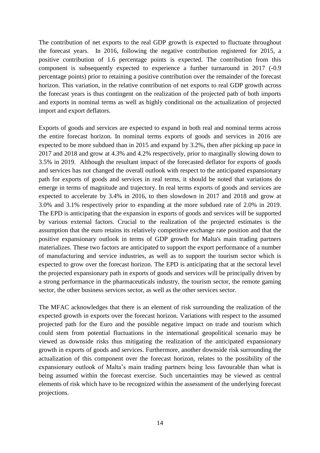The contribution of net exports to the real GDP growth is expected to fluctuate throughout the forecast years. In 2016, following the negative contribution registered for 2015, a positive contribution of 1.6 percentage points is expected. The contribution from this component is subsequently expected to experience a further turnaround in 2017 (-0.9 percentage points) prior to retaining a positive contribution over the remainder of the forecast horizon. This variation, in the relative contribution of net exports to real GDP growth across the forecast years is thus contingent on the realization of the projected path of both imports and exports in nominal terms as well as highly conditional on the actualization of projected import and export deflators.

Exports of goods and services are expected to expand in both real and nominal terms across the entire forecast horizon. In nominal terms exports of goods and services in 2016 are expected to be more subdued than in 2015 and expand by 3.2%, then after picking up pace in 2017 and 2018 and grow at 4.3% and 4.2% respectively, prior to marginally slowing down to 3.5% in 2019. Although the resultant impact of the forecasted deflator for exports of goods and services has not changed the overall outlook with respect to the anticipated expansionary path for exports of goods and services in real terms, it should be noted that variations do emerge in terms of magnitude and trajectory. In real terms exports of goods and services are expected to accelerate by 3.4% in 2016, to then slowdown in 2017 and 2018 and grow at 3.0% and 3.1% respectively prior to expanding at the more subdued rate of 2.0% in 2019. The EPD is anticipating that the expansion in exports of goods and services will be supported by various external factors. Crucial to the realization of the projected estimates is the assumption that the euro retains its relatively competitive exchange rate position and that the positive expansionary outlook in terms of GDP growth for Malta's main trading partners materializes. These two factors are anticipated to support the export performance of a number of manufacturing and service industries, as well as to support the tourism sector which is expected to grow over the forecast horizon. The EPD is anticipating that at the sectoral level the projected expansionary path in exports of goods and services will be principally driven by a strong performance in the pharmaceuticals industry, the tourism sector, the remote gaming sector, the other business services sector, as well as the other services sector.

The MFAC acknowledges that there is an element of risk surrounding the realization of the expected growth in exports over the forecast horizon. Variations with respect to the assumed projected path for the Euro and the possible negative impact on trade and tourism which could stem from potential fluctuations in the international geopolitical scenario may be viewed as downside risks thus mitigating the realization of the anticipated expansionary growth in exports of goods and services. Furthermore, another downside risk surrounding the actualization of this component over the forecast horizon, relates to the possibility of the expansionary outlook of Malta's main trading partners being less favourable than what is being assumed within the forecast exercise. Such uncertainties may be viewed as central elements of risk which have to be recognized within the assessment of the underlying forecast projections.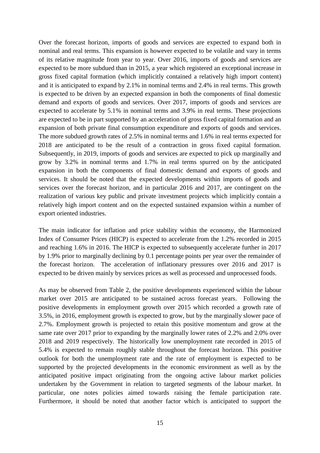Over the forecast horizon, imports of goods and services are expected to expand both in nominal and real terms. This expansion is however expected to be volatile and vary in terms of its relative magnitude from year to year. Over 2016, imports of goods and services are expected to be more subdued than in 2015, a year which registered an exceptional increase in gross fixed capital formation (which implicitly contained a relatively high import content) and it is anticipated to expand by 2.1% in nominal terms and 2.4% in real terms. This growth is expected to be driven by an expected expansion in both the components of final domestic demand and exports of goods and services. Over 2017, imports of goods and services are expected to accelerate by 5.1% in nominal terms and 3.9% in real terms. These projections are expected to be in part supported by an acceleration of gross fixed capital formation and an expansion of both private final consumption expenditure and exports of goods and services. The more subdued growth rates of 2.5% in nominal terms and 1.6% in real terms expected for 2018 are anticipated to be the result of a contraction in gross fixed capital formation. Subsequently, in 2019, imports of goods and services are expected to pick up marginally and grow by 3.2% in nominal terms and 1.7% in real terms spurred on by the anticipated expansion in both the components of final domestic demand and exports of goods and services. It should be noted that the expected developments within imports of goods and services over the forecast horizon, and in particular 2016 and 2017, are contingent on the realization of various key public and private investment projects which implicitly contain a relatively high import content and on the expected sustained expansion within a number of export oriented industries.

The main indicator for inflation and price stability within the economy, the Harmonized Index of Consumer Prices (HICP) is expected to accelerate from the 1.2% recorded in 2015 and reaching 1.6% in 2016. The HICP is expected to subsequently accelerate further in 2017 by 1.9% prior to marginally declining by 0.1 percentage points per year over the remainder of the forecast horizon. The acceleration of inflationary pressures over 2016 and 2017 is expected to be driven mainly by services prices as well as processed and unprocessed foods.

As may be observed from Table 2, the positive developments experienced within the labour market over 2015 are anticipated to be sustained across forecast years. Following the positive developments in employment growth over 2015 which recorded a growth rate of 3.5%, in 2016, employment growth is expected to grow, but by the marginally slower pace of 2.7%. Employment growth is projected to retain this positive momentum and grow at the same rate over 2017 prior to expanding by the marginally lower rates of 2.2% and 2.0% over 2018 and 2019 respectively. The historically low unemployment rate recorded in 2015 of 5.4% is expected to remain roughly stable throughout the forecast horizon. This positive outlook for both the unemployment rate and the rate of employment is expected to be supported by the projected developments in the economic environment as well as by the anticipated positive impact originating from the ongoing active labour market policies undertaken by the Government in relation to targeted segments of the labour market. In particular, one notes policies aimed towards raising the female participation rate. Furthermore, it should be noted that another factor which is anticipated to support the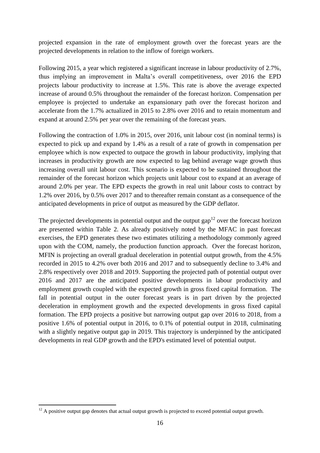projected expansion in the rate of employment growth over the forecast years are the projected developments in relation to the inflow of foreign workers.

Following 2015, a year which registered a significant increase in labour productivity of 2.7%, thus implying an improvement in Malta's overall competitiveness, over 2016 the EPD projects labour productivity to increase at 1.5%. This rate is above the average expected increase of around 0.5% throughout the remainder of the forecast horizon. Compensation per employee is projected to undertake an expansionary path over the forecast horizon and accelerate from the 1.7% actualized in 2015 to 2.8% over 2016 and to retain momentum and expand at around 2.5% per year over the remaining of the forecast years.

Following the contraction of 1.0% in 2015, over 2016, unit labour cost (in nominal terms) is expected to pick up and expand by 1.4% as a result of a rate of growth in compensation per employee which is now expected to outpace the growth in labour productivity, implying that increases in productivity growth are now expected to lag behind average wage growth thus increasing overall unit labour cost. This scenario is expected to be sustained throughout the remainder of the forecast horizon which projects unit labour cost to expand at an average of around 2.0% per year. The EPD expects the growth in real unit labour costs to contract by 1.2% over 2016, by 0.5% over 2017 and to thereafter remain constant as a consequence of the anticipated developments in price of output as measured by the GDP deflator.

The projected developments in potential output and the output gap<sup>12</sup> over the forecast horizon are presented within Table 2. As already positively noted by the MFAC in past forecast exercises, the EPD generates these two estimates utilizing a methodology commonly agreed upon with the COM, namely, the production function approach. Over the forecast horizon, MFIN is projecting an overall gradual deceleration in potential output growth, from the 4.5% recorded in 2015 to 4.2% over both 2016 and 2017 and to subsequently decline to 3.4% and 2.8% respectively over 2018 and 2019. Supporting the projected path of potential output over 2016 and 2017 are the anticipated positive developments in labour productivity and employment growth coupled with the expected growth in gross fixed capital formation. The fall in potential output in the outer forecast years is in part driven by the projected deceleration in employment growth and the expected developments in gross fixed capital formation. The EPD projects a positive but narrowing output gap over 2016 to 2018, from a positive 1.6% of potential output in 2016, to 0.1% of potential output in 2018, culminating with a slightly negative output gap in 2019. This trajectory is underpinned by the anticipated developments in real GDP growth and the EPD's estimated level of potential output.

 $12$  A positive output gap denotes that actual output growth is projected to exceed potential output growth.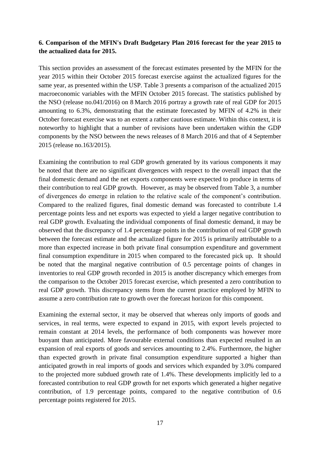## **6. Comparison of the MFIN's Draft Budgetary Plan 2016 forecast for the year 2015 to the actualized data for 2015.**

This section provides an assessment of the forecast estimates presented by the MFIN for the year 2015 within their October 2015 forecast exercise against the actualized figures for the same year, as presented within the USP. Table 3 presents a comparison of the actualized 2015 macroeconomic variables with the MFIN October 2015 forecast. The statistics published by the NSO (release no.041/2016) on 8 March 2016 portray a growth rate of real GDP for 2015 amounting to 6.3%, demonstrating that the estimate forecasted by MFIN of 4.2% in their October forecast exercise was to an extent a rather cautious estimate. Within this context, it is noteworthy to highlight that a number of revisions have been undertaken within the GDP components by the NSO between the news releases of 8 March 2016 and that of 4 September 2015 (release no.163/2015).

Examining the contribution to real GDP growth generated by its various components it may be noted that there are no significant divergences with respect to the overall impact that the final domestic demand and the net exports components were expected to produce in terms of their contribution to real GDP growth. However, as may be observed from Table 3, a number of divergences do emerge in relation to the relative scale of the component's contribution. Compared to the realized figures, final domestic demand was forecasted to contribute 1.4 percentage points less and net exports was expected to yield a larger negative contribution to real GDP growth. Evaluating the individual components of final domestic demand, it may be observed that the discrepancy of 1.4 percentage points in the contribution of real GDP growth between the forecast estimate and the actualized figure for 2015 is primarily attributable to a more than expected increase in both private final consumption expenditure and government final consumption expenditure in 2015 when compared to the forecasted pick up. It should be noted that the marginal negative contribution of 0.5 percentage points of changes in inventories to real GDP growth recorded in 2015 is another discrepancy which emerges from the comparison to the October 2015 forecast exercise, which presented a zero contribution to real GDP growth. This discrepancy stems from the current practice employed by MFIN to assume a zero contribution rate to growth over the forecast horizon for this component.

Examining the external sector, it may be observed that whereas only imports of goods and services, in real terms, were expected to expand in 2015, with export levels projected to remain constant at 2014 levels, the performance of both components was however more buoyant than anticipated. More favourable external conditions than expected resulted in an expansion of real exports of goods and services amounting to 2.4%. Furthermore, the higher than expected growth in private final consumption expenditure supported a higher than anticipated growth in real imports of goods and services which expanded by 3.0% compared to the projected more subdued growth rate of 1.4%. These developments implicitly led to a forecasted contribution to real GDP growth for net exports which generated a higher negative contribution, of 1.9 percentage points, compared to the negative contribution of 0.6 percentage points registered for 2015.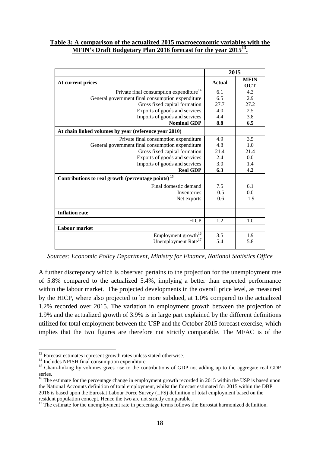#### **Table 3: A comparison of the actualized 2015 macroeconomic variables with the MFIN's Draft Budgetary Plan 2016 forecast for the year 2015<sup>13</sup> .**

|                                                                | 2015          |                           |  |
|----------------------------------------------------------------|---------------|---------------------------|--|
| At current prices                                              | <b>Actual</b> | <b>MFIN</b><br><b>OCT</b> |  |
| Private final consumption expenditure <sup>14</sup>            | 6.1           | 4.3                       |  |
| General government final consumption expenditure               | 6.5           | 2.9                       |  |
| Gross fixed capital formation                                  | 27.7          | 27.2                      |  |
| Exports of goods and services                                  | 4.0           | 2.5                       |  |
| Imports of goods and services                                  | 4.4           | 3.8                       |  |
| <b>Nominal GDP</b>                                             | 8.8           | 6.5                       |  |
| At chain linked volumes by year (reference year 2010)          |               |                           |  |
| Private final consumption expenditure                          | 4.9           | 3.5                       |  |
| General government final consumption expenditure               | 4.8           | 1.0                       |  |
| Gross fixed capital formation                                  | 21.4          | 21.4                      |  |
| Exports of goods and services                                  | 2.4           | 0.0                       |  |
| Imports of goods and services                                  | 3.0           | 1.4                       |  |
| <b>Real GDP</b>                                                | 6.3           | 4.2                       |  |
| Contributions to real growth (percentage points) <sup>15</sup> |               |                           |  |
| Final domestic demand                                          | 7.5           | 6.1                       |  |
| Inventories                                                    | $-0.5$        | 0.0                       |  |
| Net exports                                                    | $-0.6$        | $-1.9$                    |  |
| <b>Inflation rate</b>                                          |               |                           |  |
| <b>HICP</b>                                                    | 1.2           | 1.0                       |  |
| Labour market                                                  |               |                           |  |
| Employment growth <sup>16</sup>                                | 3.5           | 1.9                       |  |
| Unemployment Rate <sup>17</sup>                                | 5.4           | 5.8                       |  |

*Sources: Economic Policy Department, Ministry for Finance, National Statistics Office*

A further discrepancy which is observed pertains to the projection for the unemployment rate of 5.8% compared to the actualized 5.4%, implying a better than expected performance within the labour market. The projected developments in the overall price level, as measured by the HICP, where also projected to be more subdued, at 1.0% compared to the actualized 1.2% recorded over 2015. The variation in employment growth between the projection of 1.9% and the actualized growth of 3.9% is in large part explained by the different definitions utilized for total employment between the USP and the October 2015 forecast exercise, which implies that the two figures are therefore not strictly comparable. The MFAC is of the

<sup>&</sup>lt;sup>13</sup> Forecast estimates represent growth rates unless stated otherwise.

<sup>&</sup>lt;sup>14</sup> Includes NPISH final consumption expenditure

<sup>&</sup>lt;sup>15</sup> Chain-linking by volumes gives rise to the contributions of GDP not adding up to the aggregate real GDP series.

<sup>&</sup>lt;sup>16</sup> The estimate for the percentage change in employment growth recorded in 2015 within the USP is based upon the National Accounts definition of total employment, whilst the forecast estimated for 2015 within the DBP 2016 is based upon the Eurostat Labour Force Survey (LFS) definition of total employment based on the resident population concept. Hence the two are not strictly comparable.

<sup>&</sup>lt;sup>17</sup> The estimate for the unemployment rate in percentage terms follows the Eurostat harmonized definition.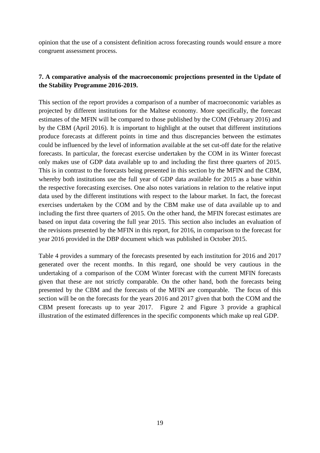opinion that the use of a consistent definition across forecasting rounds would ensure a more congruent assessment process.

## **7. A comparative analysis of the macroeconomic projections presented in the Update of the Stability Programme 2016-2019.**

This section of the report provides a comparison of a number of macroeconomic variables as projected by different institutions for the Maltese economy. More specifically, the forecast estimates of the MFIN will be compared to those published by the COM (February 2016) and by the CBM (April 2016). It is important to highlight at the outset that different institutions produce forecasts at different points in time and thus discrepancies between the estimates could be influenced by the level of information available at the set cut-off date for the relative forecasts. In particular, the forecast exercise undertaken by the COM in its Winter forecast only makes use of GDP data available up to and including the first three quarters of 2015. This is in contrast to the forecasts being presented in this section by the MFIN and the CBM, whereby both institutions use the full year of GDP data available for 2015 as a base within the respective forecasting exercises. One also notes variations in relation to the relative input data used by the different institutions with respect to the labour market. In fact, the forecast exercises undertaken by the COM and by the CBM make use of data available up to and including the first three quarters of 2015. On the other hand, the MFIN forecast estimates are based on input data covering the full year 2015. This section also includes an evaluation of the revisions presented by the MFIN in this report, for 2016, in comparison to the forecast for year 2016 provided in the DBP document which was published in October 2015.

Table 4 provides a summary of the forecasts presented by each institution for 2016 and 2017 generated over the recent months. In this regard, one should be very cautious in the undertaking of a comparison of the COM Winter forecast with the current MFIN forecasts given that these are not strictly comparable. On the other hand, both the forecasts being presented by the CBM and the forecasts of the MFIN are comparable. The focus of this section will be on the forecasts for the years 2016 and 2017 given that both the COM and the CBM present forecasts up to year 2017. Figure 2 and Figure 3 provide a graphical illustration of the estimated differences in the specific components which make up real GDP.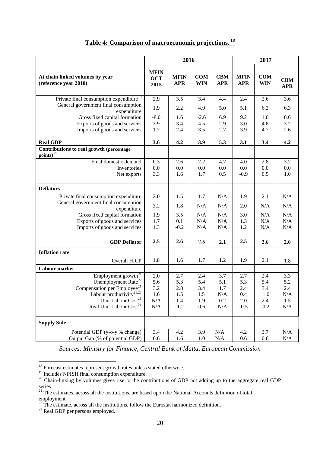|                                                                   | 2016                              |                           |                   | 2017                     |                           |                   |                          |
|-------------------------------------------------------------------|-----------------------------------|---------------------------|-------------------|--------------------------|---------------------------|-------------------|--------------------------|
| At chain linked volumes by year<br>(reference year 2010)          | <b>MFIN</b><br><b>OCT</b><br>2015 | <b>MFIN</b><br><b>APR</b> | COM<br><b>WIN</b> | <b>CBM</b><br><b>APR</b> | <b>MFIN</b><br><b>APR</b> | COM<br><b>WIN</b> | <b>CBM</b><br><b>APR</b> |
| Private final consumption expenditure <sup>19</sup>               | 2.9                               | 3.5                       | 3.4               | 4.4                      | 2.4                       | 2.6               | 3.6                      |
| General government final consumption<br>expenditure               | 1.9                               | 2.2                       | 4.9               | 5.0                      | 5.1                       | 6.3               | 6.3                      |
| Gross fixed capital formation                                     | $-8.0$                            | 1.6                       | $-2.6$            | 6.9                      | 9.2                       | 1.0               | 0.6                      |
| Exports of goods and services                                     | 3.9                               | 3.4                       | 4.5               | 2.9                      | 3.0                       | 4.8               | 3.2                      |
| Imports of goods and services                                     | 1.7                               | 2.4                       | 3.5               | 2.7                      | 3.9                       | 4.7               | 2.6                      |
| <b>Real GDP</b>                                                   | 3.6                               | 4.2                       | 3.9               | 5.3                      | 3.1                       | 3.4               | 4.2                      |
| Contributions to real growth (percentage<br>points) <sup>20</sup> |                                   |                           |                   |                          |                           |                   |                          |
| Final domestic demand                                             | 0.3                               | 2.6                       | 2.2               | 4.7                      | 4.0                       | 2.8               | 3.2                      |
| Inventories                                                       | 0.0                               | 0.0                       | 0.0               | 0.0                      | 0.0                       | 0.0               | $0.0\,$                  |
| Net exports                                                       | 3.3                               | 1.6                       | 1.7               | 0.5                      | $-0.9$                    | 0.5               | 1.0                      |
| <b>Deflators</b>                                                  |                                   |                           |                   |                          |                           |                   |                          |
| Private final consumption expenditure                             | 2.0                               | 1.5                       | 1.7               | N/A                      | 1.9                       | 2.1               | $\rm N/A$                |
| General government final consumption<br>expenditure               | 3.2                               | 1.8                       | N/A               | N/A                      | 2.0                       | N/A               | N/A                      |
| Gross fixed capital formation                                     | 1.9                               | 3.5                       | N/A               | N/A                      | 3.0                       | N/A               | N/A                      |
| Exports of goods and services                                     | 1.7                               | 0.1                       | N/A               | N/A                      | 1.3                       | N/A               | N/A                      |
| Imports of goods and services                                     | 1.3                               | $-0.2$                    | N/A               | N/A                      | 1.2                       | N/A               | N/A                      |
| <b>GDP</b> Deflator                                               | 2.5                               | 2.6                       | 2.5               | 2.1                      | 2.5                       | 2.6               | 2.0                      |
| <b>Inflation rate</b>                                             |                                   |                           |                   |                          |                           |                   |                          |
| Overall HICP                                                      | 1.8                               | 1.6                       | 1.7               | 1.2                      | 1.9                       | 2.1               | 1.8                      |
| Labour market                                                     |                                   |                           |                   |                          |                           |                   |                          |
| Employment growth <sup>21</sup>                                   | 2.0                               | 2.7                       | 2.4               | 3.7                      | 2.7                       | 2.4               | 3.3                      |
| Unemployment Rate <sup>22</sup>                                   | 5.6                               | 5.3                       | 5.4               | 5.1                      | 5.3                       | 5.4               | 5.2                      |
| Compensation per Employee <sup>21</sup>                           | 3.2                               | 2.8                       | 3.4               | 1.7                      | 2.4                       | 3.4               | 2.4                      |
| Labour productivity <sup>21,23</sup>                              | 1.6                               | 1.5                       | 1.5               | N/A                      | 0.4                       | 1.0               | N/A                      |
| Unit Labour Cost <sup>21</sup>                                    | N/A                               | 1.4                       | 1.9               | 0.2                      | 2.0                       | 2.4               | 1.5                      |
| Real Unit Labour Cost <sup>21</sup>                               | N/A                               | $-1.2$                    | $-0.6$            | N/A                      | $-0.5$                    | $-0.2$            | $\rm N/A$                |
| <b>Supply Side</b>                                                |                                   |                           |                   |                          |                           |                   |                          |
| Potential GDP (y-o-y % change)                                    | 3.4                               | 4.2                       | 3.9               | N/A                      | 4.2                       | 3.7               | N/A                      |
| Output Gap (% of potential GDP)                                   | 0.6                               | 1.6                       | 1.0               | N/A                      | 0.6                       | 0.6               | N/A                      |

# **Table 4: Comparison of macroeconomic projections. <sup>18</sup>**

*Sources: Ministry for Finance, Central Bank of Malta, European Commission*

 $18$  Forecast estimates represent growth rates unless stated otherwise.

<sup>&</sup>lt;sup>19</sup> Includes NPISH final consumption expenditure.

<sup>&</sup>lt;sup>20</sup> Chain-linking by volumes gives rise to the contributions of GDP not adding up to the aggregate real GDP series

 $21$  The estimates, across all the institutions, are based upon the National Accounts definition of total employment.

 $^{22}$  The estimate, across all the institutions, follow the Eurostat harmonized definition.

<sup>&</sup>lt;sup>23</sup> Real GDP per persons employed.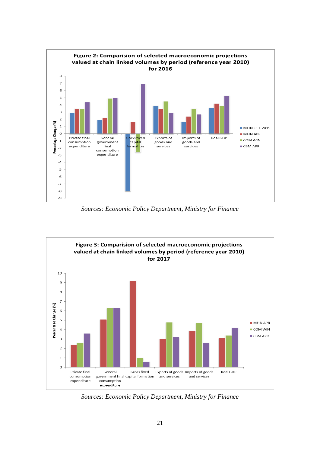

*Sources: Economic Policy Department, Ministry for Finance*



*Sources: Economic Policy Department, Ministry for Finance*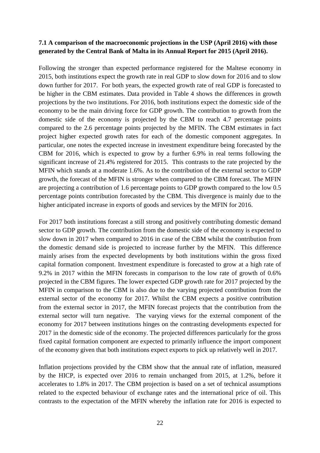## **7.1 A comparison of the macroeconomic projections in the USP (April 2016) with those generated by the Central Bank of Malta in its Annual Report for 2015 (April 2016).**

Following the stronger than expected performance registered for the Maltese economy in 2015, both institutions expect the growth rate in real GDP to slow down for 2016 and to slow down further for 2017. For both years, the expected growth rate of real GDP is forecasted to be higher in the CBM estimates. Data provided in Table 4 shows the differences in growth projections by the two institutions. For 2016, both institutions expect the domestic side of the economy to be the main driving force for GDP growth. The contribution to growth from the domestic side of the economy is projected by the CBM to reach 4.7 percentage points compared to the 2.6 percentage points projected by the MFIN. The CBM estimates in fact project higher expected growth rates for each of the domestic component aggregates. In particular, one notes the expected increase in investment expenditure being forecasted by the CBM for 2016, which is expected to grow by a further 6.9% in real terms following the significant increase of 21.4% registered for 2015. This contrasts to the rate projected by the MFIN which stands at a moderate 1.6%. As to the contribution of the external sector to GDP growth, the forecast of the MFIN is stronger when compared to the CBM forecast. The MFIN are projecting a contribution of 1.6 percentage points to GDP growth compared to the low 0.5 percentage points contribution forecasted by the CBM. This divergence is mainly due to the higher anticipated increase in exports of goods and services by the MFIN for 2016.

For 2017 both institutions forecast a still strong and positively contributing domestic demand sector to GDP growth. The contribution from the domestic side of the economy is expected to slow down in 2017 when compared to 2016 in case of the CBM whilst the contribution from the domestic demand side is projected to increase further by the MFIN. This difference mainly arises from the expected developments by both institutions within the gross fixed capital formation component. Investment expenditure is forecasted to grow at a high rate of 9.2% in 2017 within the MFIN forecasts in comparison to the low rate of growth of 0.6% projected in the CBM figures. The lower expected GDP growth rate for 2017 projected by the MFIN in comparison to the CBM is also due to the varying projected contribution from the external sector of the economy for 2017. Whilst the CBM expects a positive contribution from the external sector in 2017, the MFIN forecast projects that the contribution from the external sector will turn negative. The varying views for the external component of the economy for 2017 between institutions hinges on the contrasting developments expected for 2017 in the domestic side of the economy. The projected differences particularly for the gross fixed capital formation component are expected to primarily influence the import component of the economy given that both institutions expect exports to pick up relatively well in 2017.

Inflation projections provided by the CBM show that the annual rate of inflation, measured by the HICP, is expected over 2016 to remain unchanged from 2015, at 1.2%, before it accelerates to 1.8% in 2017. The CBM projection is based on a set of technical assumptions related to the expected behaviour of exchange rates and the international price of oil. This contrasts to the expectation of the MFIN whereby the inflation rate for 2016 is expected to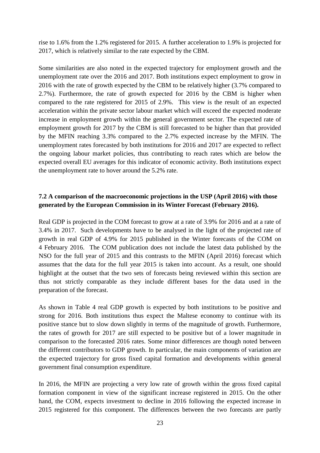rise to 1.6% from the 1.2% registered for 2015. A further acceleration to 1.9% is projected for 2017, which is relatively similar to the rate expected by the CBM.

Some similarities are also noted in the expected trajectory for employment growth and the unemployment rate over the 2016 and 2017. Both institutions expect employment to grow in 2016 with the rate of growth expected by the CBM to be relatively higher (3.7% compared to 2.7%). Furthermore, the rate of growth expected for 2016 by the CBM is higher when compared to the rate registered for 2015 of 2.9%. This view is the result of an expected acceleration within the private sector labour market which will exceed the expected moderate increase in employment growth within the general government sector. The expected rate of employment growth for 2017 by the CBM is still forecasted to be higher than that provided by the MFIN reaching 3.3% compared to the 2.7% expected increase by the MFIN. The unemployment rates forecasted by both institutions for 2016 and 2017 are expected to reflect the ongoing labour market policies, thus contributing to reach rates which are below the expected overall EU averages for this indicator of economic activity. Both institutions expect the unemployment rate to hover around the 5.2% rate.

## **7.2 A comparison of the macroeconomic projections in the USP (April 2016) with those generated by the European Commission in its Winter Forecast (February 2016).**

Real GDP is projected in the COM forecast to grow at a rate of 3.9% for 2016 and at a rate of 3.4% in 2017. Such developments have to be analysed in the light of the projected rate of growth in real GDP of 4.9% for 2015 published in the Winter forecasts of the COM on 4 February 2016. The COM publication does not include the latest data published by the NSO for the full year of 2015 and this contrasts to the MFIN (April 2016) forecast which assumes that the data for the full year 2015 is taken into account. As a result, one should highlight at the outset that the two sets of forecasts being reviewed within this section are thus not strictly comparable as they include different bases for the data used in the preparation of the forecast.

As shown in Table 4 real GDP growth is expected by both institutions to be positive and strong for 2016. Both institutions thus expect the Maltese economy to continue with its positive stance but to slow down slightly in terms of the magnitude of growth. Furthermore, the rates of growth for 2017 are still expected to be positive but of a lower magnitude in comparison to the forecasted 2016 rates. Some minor differences are though noted between the different contributors to GDP growth. In particular, the main components of variation are the expected trajectory for gross fixed capital formation and developments within general government final consumption expenditure.

In 2016, the MFIN are projecting a very low rate of growth within the gross fixed capital formation component in view of the significant increase registered in 2015. On the other hand, the COM, expects investment to decline in 2016 following the expected increase in 2015 registered for this component. The differences between the two forecasts are partly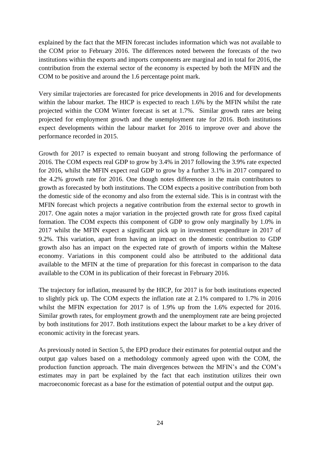explained by the fact that the MFIN forecast includes information which was not available to the COM prior to February 2016. The differences noted between the forecasts of the two institutions within the exports and imports components are marginal and in total for 2016, the contribution from the external sector of the economy is expected by both the MFIN and the COM to be positive and around the 1.6 percentage point mark.

Very similar trajectories are forecasted for price developments in 2016 and for developments within the labour market. The HICP is expected to reach 1.6% by the MFIN whilst the rate projected within the COM Winter forecast is set at 1.7%. Similar growth rates are being projected for employment growth and the unemployment rate for 2016. Both institutions expect developments within the labour market for 2016 to improve over and above the performance recorded in 2015.

Growth for 2017 is expected to remain buoyant and strong following the performance of 2016. The COM expects real GDP to grow by 3.4% in 2017 following the 3.9% rate expected for 2016, whilst the MFIN expect real GDP to grow by a further 3.1% in 2017 compared to the 4.2% growth rate for 2016. One though notes differences in the main contributors to growth as forecasted by both institutions. The COM expects a positive contribution from both the domestic side of the economy and also from the external side. This is in contrast with the MFIN forecast which projects a negative contribution from the external sector to growth in 2017. One again notes a major variation in the projected growth rate for gross fixed capital formation. The COM expects this component of GDP to grow only marginally by 1.0% in 2017 whilst the MFIN expect a significant pick up in investment expenditure in 2017 of 9.2%. This variation, apart from having an impact on the domestic contribution to GDP growth also has an impact on the expected rate of growth of imports within the Maltese economy. Variations in this component could also be attributed to the additional data available to the MFIN at the time of preparation for this forecast in comparison to the data available to the COM in its publication of their forecast in February 2016.

The trajectory for inflation, measured by the HICP, for 2017 is for both institutions expected to slightly pick up. The COM expects the inflation rate at 2.1% compared to 1.7% in 2016 whilst the MFIN expectation for 2017 is of 1.9% up from the 1.6% expected for 2016. Similar growth rates, for employment growth and the unemployment rate are being projected by both institutions for 2017. Both institutions expect the labour market to be a key driver of economic activity in the forecast years.

As previously noted in Section 5, the EPD produce their estimates for potential output and the output gap values based on a methodology commonly agreed upon with the COM, the production function approach. The main divergences between the MFIN's and the COM's estimates may in part be explained by the fact that each institution utilizes their own macroeconomic forecast as a base for the estimation of potential output and the output gap.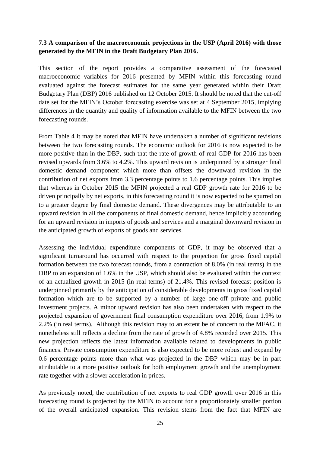## **7.3 A comparison of the macroeconomic projections in the USP (April 2016) with those generated by the MFIN in the Draft Budgetary Plan 2016.**

This section of the report provides a comparative assessment of the forecasted macroeconomic variables for 2016 presented by MFIN within this forecasting round evaluated against the forecast estimates for the same year generated within their Draft Budgetary Plan (DBP) 2016 published on 12 October 2015. It should be noted that the cut-off date set for the MFIN's October forecasting exercise was set at 4 September 2015, implying differences in the quantity and quality of information available to the MFIN between the two forecasting rounds.

From Table 4 it may be noted that MFIN have undertaken a number of significant revisions between the two forecasting rounds. The economic outlook for 2016 is now expected to be more positive than in the DBP, such that the rate of growth of real GDP for 2016 has been revised upwards from 3.6% to 4.2%. This upward revision is underpinned by a stronger final domestic demand component which more than offsets the downward revision in the contribution of net exports from 3.3 percentage points to 1.6 percentage points. This implies that whereas in October 2015 the MFIN projected a real GDP growth rate for 2016 to be driven principally by net exports, in this forecasting round it is now expected to be spurred on to a greater degree by final domestic demand. These divergences may be attributable to an upward revision in all the components of final domestic demand, hence implicitly accounting for an upward revision in imports of goods and services and a marginal downward revision in the anticipated growth of exports of goods and services.

Assessing the individual expenditure components of GDP, it may be observed that a significant turnaround has occurred with respect to the projection for gross fixed capital formation between the two forecast rounds, from a contraction of 8.0% (in real terms) in the DBP to an expansion of 1.6% in the USP, which should also be evaluated within the context of an actualized growth in 2015 (in real terms) of 21.4%. This revised forecast position is underpinned primarily by the anticipation of considerable developments in gross fixed capital formation which are to be supported by a number of large one-off private and public investment projects. A minor upward revision has also been undertaken with respect to the projected expansion of government final consumption expenditure over 2016, from 1.9% to 2.2% (in real terms). Although this revision may to an extent be of concern to the MFAC, it nonetheless still reflects a decline from the rate of growth of 4.8% recorded over 2015. This new projection reflects the latest information available related to developments in public finances. Private consumption expenditure is also expected to be more robust and expand by 0.6 percentage points more than what was projected in the DBP which may be in part attributable to a more positive outlook for both employment growth and the unemployment rate together with a slower acceleration in prices.

As previously noted, the contribution of net exports to real GDP growth over 2016 in this forecasting round is projected by the MFIN to account for a proportionately smaller portion of the overall anticipated expansion. This revision stems from the fact that MFIN are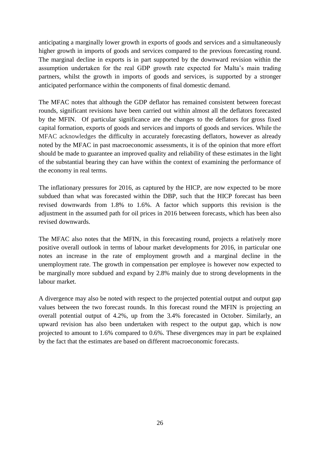anticipating a marginally lower growth in exports of goods and services and a simultaneously higher growth in imports of goods and services compared to the previous forecasting round. The marginal decline in exports is in part supported by the downward revision within the assumption undertaken for the real GDP growth rate expected for Malta's main trading partners, whilst the growth in imports of goods and services, is supported by a stronger anticipated performance within the components of final domestic demand.

The MFAC notes that although the GDP deflator has remained consistent between forecast rounds, significant revisions have been carried out within almost all the deflators forecasted by the MFIN. Of particular significance are the changes to the deflators for gross fixed capital formation, exports of goods and services and imports of goods and services. While the MFAC acknowledges the difficulty in accurately forecasting deflators, however as already noted by the MFAC in past macroeconomic assessments, it is of the opinion that more effort should be made to guarantee an improved quality and reliability of these estimates in the light of the substantial bearing they can have within the context of examining the performance of the economy in real terms.

The inflationary pressures for 2016, as captured by the HICP, are now expected to be more subdued than what was forecasted within the DBP, such that the HICP forecast has been revised downwards from 1.8% to 1.6%. A factor which supports this revision is the adjustment in the assumed path for oil prices in 2016 between forecasts, which has been also revised downwards.

The MFAC also notes that the MFIN, in this forecasting round, projects a relatively more positive overall outlook in terms of labour market developments for 2016, in particular one notes an increase in the rate of employment growth and a marginal decline in the unemployment rate. The growth in compensation per employee is however now expected to be marginally more subdued and expand by 2.8% mainly due to strong developments in the labour market.

A divergence may also be noted with respect to the projected potential output and output gap values between the two forecast rounds. In this forecast round the MFIN is projecting an overall potential output of 4.2%, up from the 3.4% forecasted in October. Similarly, an upward revision has also been undertaken with respect to the output gap, which is now projected to amount to 1.6% compared to 0.6%. These divergences may in part be explained by the fact that the estimates are based on different macroeconomic forecasts.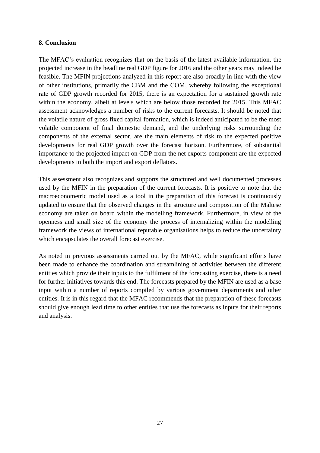#### **8. Conclusion**

The MFAC's evaluation recognizes that on the basis of the latest available information, the projected increase in the headline real GDP figure for 2016 and the other years may indeed be feasible. The MFIN projections analyzed in this report are also broadly in line with the view of other institutions, primarily the CBM and the COM, whereby following the exceptional rate of GDP growth recorded for 2015, there is an expectation for a sustained growth rate within the economy, albeit at levels which are below those recorded for 2015. This MFAC assessment acknowledges a number of risks to the current forecasts. It should be noted that the volatile nature of gross fixed capital formation, which is indeed anticipated to be the most volatile component of final domestic demand, and the underlying risks surrounding the components of the external sector, are the main elements of risk to the expected positive developments for real GDP growth over the forecast horizon. Furthermore, of substantial importance to the projected impact on GDP from the net exports component are the expected developments in both the import and export deflators.

This assessment also recognizes and supports the structured and well documented processes used by the MFIN in the preparation of the current forecasts. It is positive to note that the macroeconometric model used as a tool in the preparation of this forecast is continuously updated to ensure that the observed changes in the structure and composition of the Maltese economy are taken on board within the modelling framework. Furthermore, in view of the openness and small size of the economy the process of internalizing within the modelling framework the views of international reputable organisations helps to reduce the uncertainty which encapsulates the overall forecast exercise.

As noted in previous assessments carried out by the MFAC, while significant efforts have been made to enhance the coordination and streamlining of activities between the different entities which provide their inputs to the fulfilment of the forecasting exercise, there is a need for further initiatives towards this end. The forecasts prepared by the MFIN are used as a base input within a number of reports compiled by various government departments and other entities. It is in this regard that the MFAC recommends that the preparation of these forecasts should give enough lead time to other entities that use the forecasts as inputs for their reports and analysis.